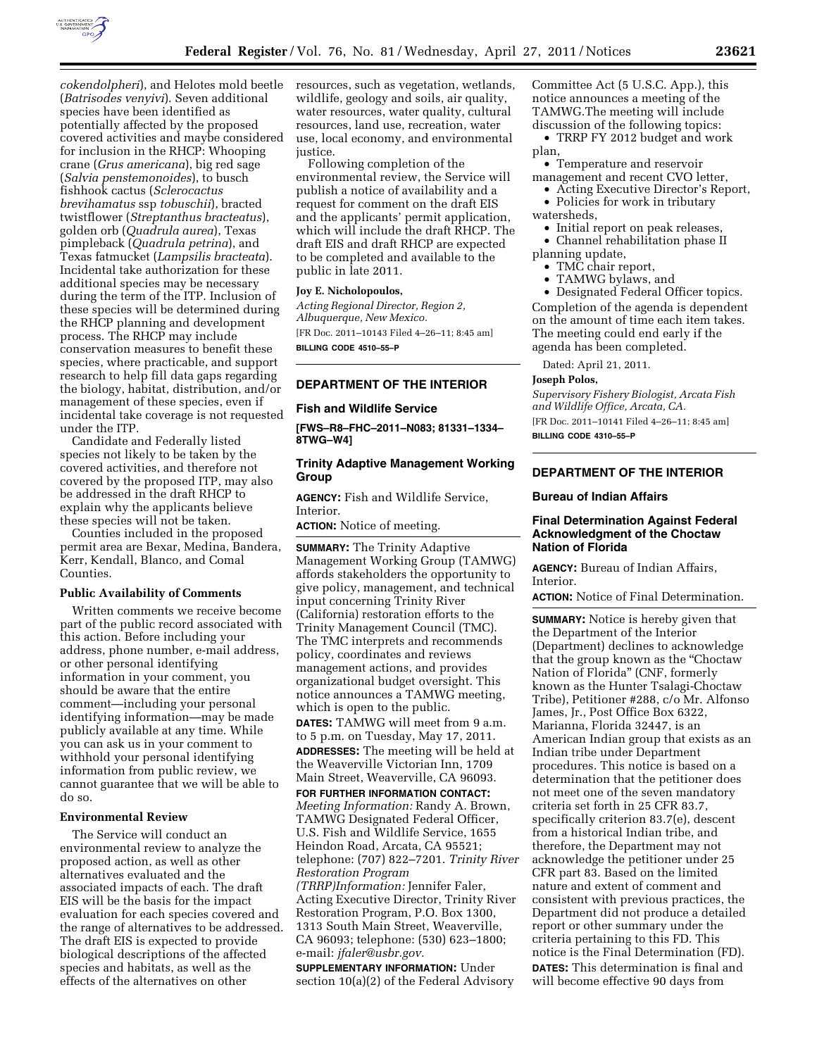

(*Batrisodes venyivi*). Seven additional species have been identified as potentially affected by the proposed covered activities and maybe considered for inclusion in the RHCP: Whooping crane (*Grus americana*), big red sage (*Salvia penstemonoides*), to busch fishhook cactus (*Sclerocactus brevihamatus* ssp *tobuschii*), bracted twistflower (*Streptanthus bracteatus*), golden orb (*Quadrula aurea*), Texas pimpleback (*Quadrula petrina*), and Texas fatmucket (*Lampsilis bracteata*). Incidental take authorization for these additional species may be necessary during the term of the ITP. Inclusion of these species will be determined during the RHCP planning and development process. The RHCP may include conservation measures to benefit these species, where practicable, and support research to help fill data gaps regarding the biology, habitat, distribution, and/or management of these species, even if incidental take coverage is not requested under the ITP.

Candidate and Federally listed species not likely to be taken by the covered activities, and therefore not covered by the proposed ITP, may also be addressed in the draft RHCP to explain why the applicants believe these species will not be taken.

Counties included in the proposed permit area are Bexar, Medina, Bandera, Kerr, Kendall, Blanco, and Comal Counties.

#### **Public Availability of Comments**

Written comments we receive become part of the public record associated with this action. Before including your address, phone number, e-mail address, or other personal identifying information in your comment, you should be aware that the entire comment—including your personal identifying information—may be made publicly available at any time. While you can ask us in your comment to withhold your personal identifying information from public review, we cannot guarantee that we will be able to do so.

### **Environmental Review**

The Service will conduct an environmental review to analyze the proposed action, as well as other alternatives evaluated and the associated impacts of each. The draft EIS will be the basis for the impact evaluation for each species covered and the range of alternatives to be addressed. The draft EIS is expected to provide biological descriptions of the affected species and habitats, as well as the effects of the alternatives on other

*cokendolpheri*), and Helotes mold beetle resources, such as vegetation, wetlands, wildlife, geology and soils, air quality, water resources, water quality, cultural resources, land use, recreation, water use, local economy, and environmental justice.

> Following completion of the environmental review, the Service will publish a notice of availability and a request for comment on the draft EIS and the applicants' permit application, which will include the draft RHCP. The draft EIS and draft RHCP are expected to be completed and available to the public in late 2011.

# **Joy E. Nicholopoulos,**

*Acting Regional Director, Region 2, Albuquerque, New Mexico.*  [FR Doc. 2011–10143 Filed 4–26–11; 8:45 am] **BILLING CODE 4510–55–P** 

#### **DEPARTMENT OF THE INTERIOR**

#### **Fish and Wildlife Service**

**[FWS–R8–FHC–2011–N083; 81331–1334– 8TWG–W4]** 

### **Trinity Adaptive Management Working Group**

**AGENCY:** Fish and Wildlife Service, Interior.

**ACTION:** Notice of meeting.

**SUMMARY:** The Trinity Adaptive Management Working Group (TAMWG) affords stakeholders the opportunity to give policy, management, and technical input concerning Trinity River (California) restoration efforts to the Trinity Management Council (TMC). The TMC interprets and recommends policy, coordinates and reviews management actions, and provides organizational budget oversight. This notice announces a TAMWG meeting, which is open to the public. **DATES:** TAMWG will meet from 9 a.m. to 5 p.m. on Tuesday, May 17, 2011. **ADDRESSES:** The meeting will be held at the Weaverville Victorian Inn, 1709 Main Street, Weaverville, CA 96093. **FOR FURTHER INFORMATION CONTACT:**  *Meeting Information:* Randy A. Brown, TAMWG Designated Federal Officer, U.S. Fish and Wildlife Service, 1655 Heindon Road, Arcata, CA 95521; telephone: (707) 822–7201. *Trinity River Restoration Program (TRRP)Information:* Jennifer Faler, Acting Executive Director, Trinity River Restoration Program, P.O. Box 1300, 1313 South Main Street, Weaverville, CA 96093; telephone: (530) 623–1800; e-mail: *[jfaler@usbr.gov.](mailto:jfaler@usbr.gov)* 

**SUPPLEMENTARY INFORMATION:** Under section 10(a)(2) of the Federal Advisory Committee Act (5 U.S.C. App.), this notice announces a meeting of the TAMWG.The meeting will include discussion of the following topics:

• TRRP FY 2012 budget and work plan,

• Temperature and reservoir management and recent CVO letter,

- Acting Executive Director's Report, • Policies for work in tributary
- watersheds, • Initial report on peak releases,
	- Channel rehabilitation phase II
- planning update,
	- TMC chair report,
	- TAMWG bylaws, and

• Designated Federal Officer topics. Completion of the agenda is dependent on the amount of time each item takes. The meeting could end early if the agenda has been completed.

Dated: April 21, 2011.

# **Joseph Polos,**

*Supervisory Fishery Biologist, Arcata Fish and Wildlife Office, Arcata, CA.* 

[FR Doc. 2011–10141 Filed 4–26–11; 8:45 am] **BILLING CODE 4310–55–P** 

# **DEPARTMENT OF THE INTERIOR**

### **Bureau of Indian Affairs**

# **Final Determination Against Federal Acknowledgment of the Choctaw Nation of Florida**

**AGENCY:** Bureau of Indian Affairs, Interior.

**ACTION:** Notice of Final Determination.

**SUMMARY:** Notice is hereby given that the Department of the Interior (Department) declines to acknowledge that the group known as the "Choctaw Nation of Florida'' (CNF, formerly known as the Hunter Tsalagi-Choctaw Tribe), Petitioner #288, c/o Mr. Alfonso James, Jr., Post Office Box 6322, Marianna, Florida 32447, is an American Indian group that exists as an Indian tribe under Department procedures. This notice is based on a determination that the petitioner does not meet one of the seven mandatory criteria set forth in 25 CFR 83.7, specifically criterion 83.7(e), descent from a historical Indian tribe, and therefore, the Department may not acknowledge the petitioner under 25 CFR part 83. Based on the limited nature and extent of comment and consistent with previous practices, the Department did not produce a detailed report or other summary under the criteria pertaining to this FD. This notice is the Final Determination (FD). **DATES:** This determination is final and will become effective 90 days from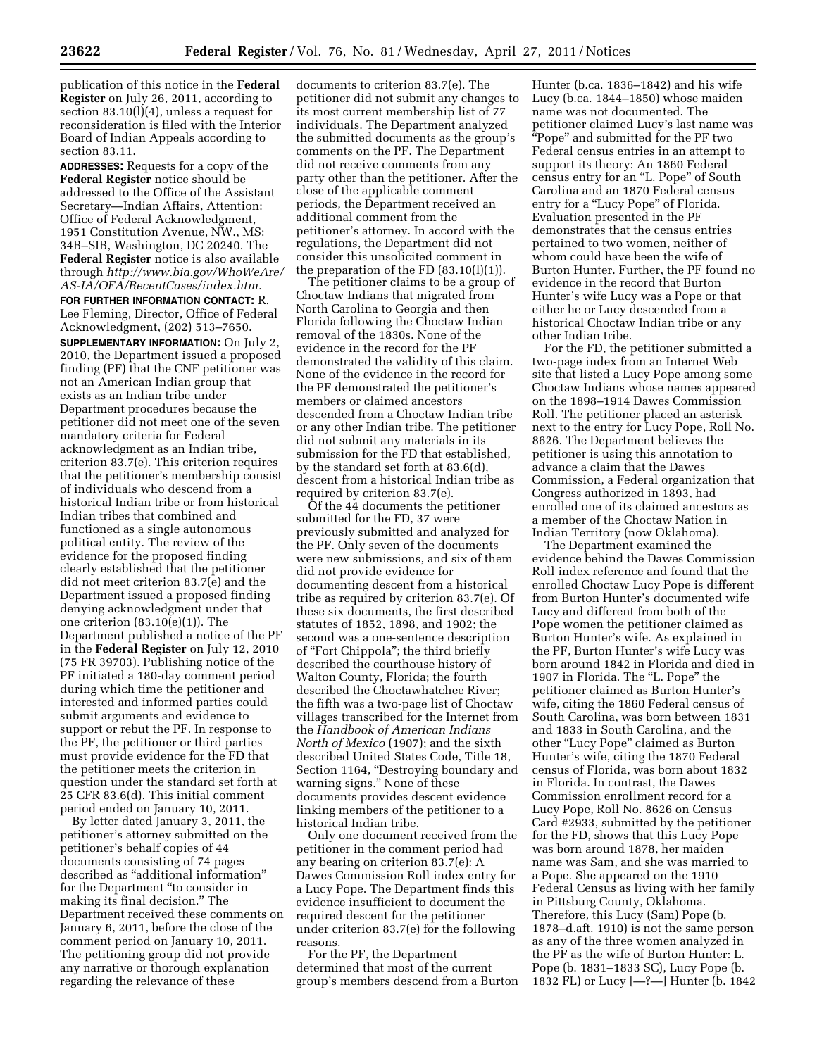publication of this notice in the **Federal Register** on July 26, 2011, according to section 83.10(l)(4), unless a request for reconsideration is filed with the Interior Board of Indian Appeals according to section 83.11.

**ADDRESSES:** Requests for a copy of the **Federal Register** notice should be addressed to the Office of the Assistant Secretary—Indian Affairs, Attention: Office of Federal Acknowledgment, 1951 Constitution Avenue, NW., MS: 34B–SIB, Washington, DC 20240. The **Federal Register** notice is also available through *[http://www.bia.gov/WhoWeAre/](http://www.bia.gov/WhoWeAre/AS-IA/OFA/RecentCases/index.htm)  [AS-IA/OFA/RecentCases/index.htm.](http://www.bia.gov/WhoWeAre/AS-IA/OFA/RecentCases/index.htm)* 

**FOR FURTHER INFORMATION CONTACT:** R. Lee Fleming, Director, Office of Federal Acknowledgment, (202) 513–7650.

**SUPPLEMENTARY INFORMATION:** On July 2, 2010, the Department issued a proposed finding (PF) that the CNF petitioner was not an American Indian group that exists as an Indian tribe under Department procedures because the petitioner did not meet one of the seven mandatory criteria for Federal acknowledgment as an Indian tribe, criterion 83.7(e). This criterion requires that the petitioner's membership consist of individuals who descend from a historical Indian tribe or from historical Indian tribes that combined and functioned as a single autonomous political entity. The review of the evidence for the proposed finding clearly established that the petitioner did not meet criterion 83.7(e) and the Department issued a proposed finding denying acknowledgment under that one criterion (83.10(e)(1)). The Department published a notice of the PF in the **Federal Register** on July 12, 2010 (75 FR 39703). Publishing notice of the PF initiated a 180-day comment period during which time the petitioner and interested and informed parties could submit arguments and evidence to support or rebut the PF. In response to the PF, the petitioner or third parties must provide evidence for the FD that the petitioner meets the criterion in question under the standard set forth at 25 CFR 83.6(d). This initial comment period ended on January 10, 2011.

By letter dated January 3, 2011, the petitioner's attorney submitted on the petitioner's behalf copies of 44 documents consisting of 74 pages described as ''additional information'' for the Department ''to consider in making its final decision.'' The Department received these comments on January 6, 2011, before the close of the comment period on January 10, 2011. The petitioning group did not provide any narrative or thorough explanation regarding the relevance of these

documents to criterion 83.7(e). The petitioner did not submit any changes to its most current membership list of 77 individuals. The Department analyzed the submitted documents as the group's comments on the PF. The Department did not receive comments from any party other than the petitioner. After the close of the applicable comment periods, the Department received an additional comment from the petitioner's attorney. In accord with the regulations, the Department did not consider this unsolicited comment in the preparation of the FD  $(83.10(1)(1))$ .

The petitioner claims to be a group of Choctaw Indians that migrated from North Carolina to Georgia and then Florida following the Choctaw Indian removal of the 1830s. None of the evidence in the record for the PF demonstrated the validity of this claim. None of the evidence in the record for the PF demonstrated the petitioner's members or claimed ancestors descended from a Choctaw Indian tribe or any other Indian tribe. The petitioner did not submit any materials in its submission for the FD that established, by the standard set forth at 83.6(d), descent from a historical Indian tribe as required by criterion 83.7(e).

Of the 44 documents the petitioner submitted for the FD, 37 were previously submitted and analyzed for the PF. Only seven of the documents were new submissions, and six of them did not provide evidence for documenting descent from a historical tribe as required by criterion 83.7(e). Of these six documents, the first described statutes of 1852, 1898, and 1902; the second was a one-sentence description of ''Fort Chippola''; the third briefly described the courthouse history of Walton County, Florida; the fourth described the Choctawhatchee River; the fifth was a two-page list of Choctaw villages transcribed for the Internet from the *Handbook of American Indians North of Mexico* (1907); and the sixth described United States Code, Title 18, Section 1164, "Destroying boundary and warning signs.'' None of these documents provides descent evidence linking members of the petitioner to a historical Indian tribe.

Only one document received from the petitioner in the comment period had any bearing on criterion 83.7(e): A Dawes Commission Roll index entry for a Lucy Pope. The Department finds this evidence insufficient to document the required descent for the petitioner under criterion 83.7(e) for the following reasons.

For the PF, the Department determined that most of the current group's members descend from a Burton

Hunter (b.ca. 1836–1842) and his wife Lucy (b.ca. 1844–1850) whose maiden name was not documented. The petitioner claimed Lucy's last name was ''Pope'' and submitted for the PF two Federal census entries in an attempt to support its theory: An 1860 Federal census entry for an ''L. Pope'' of South Carolina and an 1870 Federal census entry for a "Lucy Pope" of Florida. Evaluation presented in the PF demonstrates that the census entries pertained to two women, neither of whom could have been the wife of Burton Hunter. Further, the PF found no evidence in the record that Burton Hunter's wife Lucy was a Pope or that either he or Lucy descended from a historical Choctaw Indian tribe or any other Indian tribe.

For the FD, the petitioner submitted a two-page index from an Internet Web site that listed a Lucy Pope among some Choctaw Indians whose names appeared on the 1898–1914 Dawes Commission Roll. The petitioner placed an asterisk next to the entry for Lucy Pope, Roll No. 8626. The Department believes the petitioner is using this annotation to advance a claim that the Dawes Commission, a Federal organization that Congress authorized in 1893, had enrolled one of its claimed ancestors as a member of the Choctaw Nation in Indian Territory (now Oklahoma).

The Department examined the evidence behind the Dawes Commission Roll index reference and found that the enrolled Choctaw Lucy Pope is different from Burton Hunter's documented wife Lucy and different from both of the Pope women the petitioner claimed as Burton Hunter's wife. As explained in the PF, Burton Hunter's wife Lucy was born around 1842 in Florida and died in 1907 in Florida. The "L. Pope" the petitioner claimed as Burton Hunter's wife, citing the 1860 Federal census of South Carolina, was born between 1831 and 1833 in South Carolina, and the other ''Lucy Pope'' claimed as Burton Hunter's wife, citing the 1870 Federal census of Florida, was born about 1832 in Florida. In contrast, the Dawes Commission enrollment record for a Lucy Pope, Roll No. 8626 on Census Card #2933, submitted by the petitioner for the FD, shows that this Lucy Pope was born around 1878, her maiden name was Sam, and she was married to a Pope. She appeared on the 1910 Federal Census as living with her family in Pittsburg County, Oklahoma. Therefore, this Lucy (Sam) Pope (b. 1878–d.aft. 1910) is not the same person as any of the three women analyzed in the PF as the wife of Burton Hunter: L. Pope (b. 1831–1833 SC), Lucy Pope (b. 1832 FL) or Lucy [—?—] Hunter (b. 1842